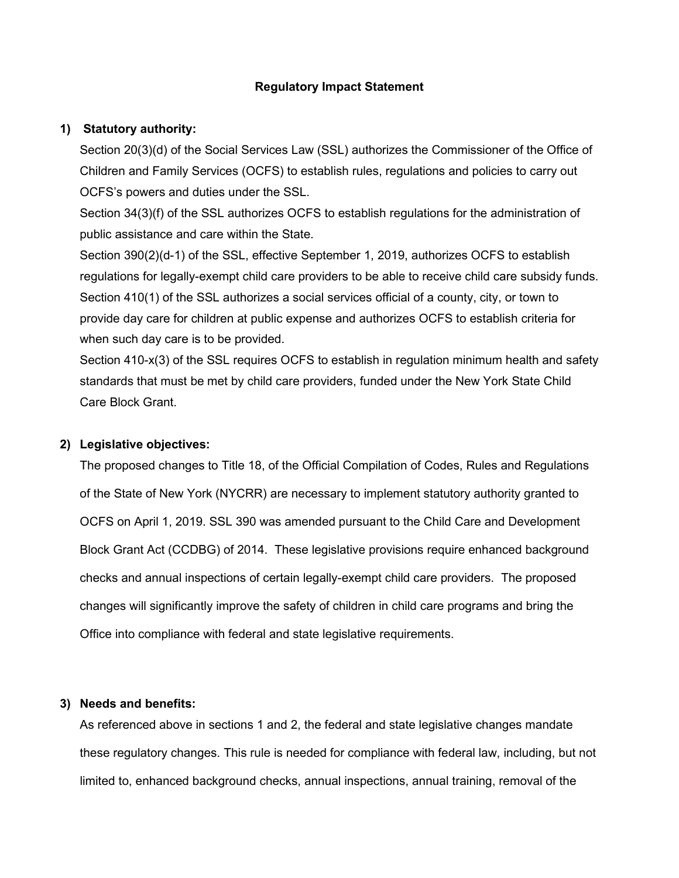#### **Regulatory Impact Statement**

#### **1) Statutory authority:**

Section 20(3)(d) of the Social Services Law (SSL) authorizes the Commissioner of the Office of Children and Family Services (OCFS) to establish rules, regulations and policies to carry out OCFS's powers and duties under the SSL.

Section 34(3)(f) of the SSL authorizes OCFS to establish regulations for the administration of public assistance and care within the State.

Section 390(2)(d-1) of the SSL, effective September 1, 2019, authorizes OCFS to establish regulations for legally-exempt child care providers to be able to receive child care subsidy funds. Section 410(1) of the SSL authorizes a social services official of a county, city, or town to provide day care for children at public expense and authorizes OCFS to establish criteria for when such day care is to be provided.

Section 410-x(3) of the SSL requires OCFS to establish in regulation minimum health and safety standards that must be met by child care providers, funded under the New York State Child Care Block Grant.

#### **2) Legislative objectives:**

The proposed changes to Title 18, of the Official Compilation of Codes, Rules and Regulations of the State of New York (NYCRR) are necessary to implement statutory authority granted to OCFS on April 1, 2019. SSL 390 was amended pursuant to the Child Care and Development Block Grant Act (CCDBG) of 2014. These legislative provisions require enhanced background checks and annual inspections of certain legally-exempt child care providers. The proposed changes will significantly improve the safety of children in child care programs and bring the Office into compliance with federal and state legislative requirements.

# **3) Needs and benefits:**

As referenced above in sections 1 and 2, the federal and state legislative changes mandate these regulatory changes. This rule is needed for compliance with federal law, including, but not limited to, enhanced background checks, annual inspections, annual training, removal of the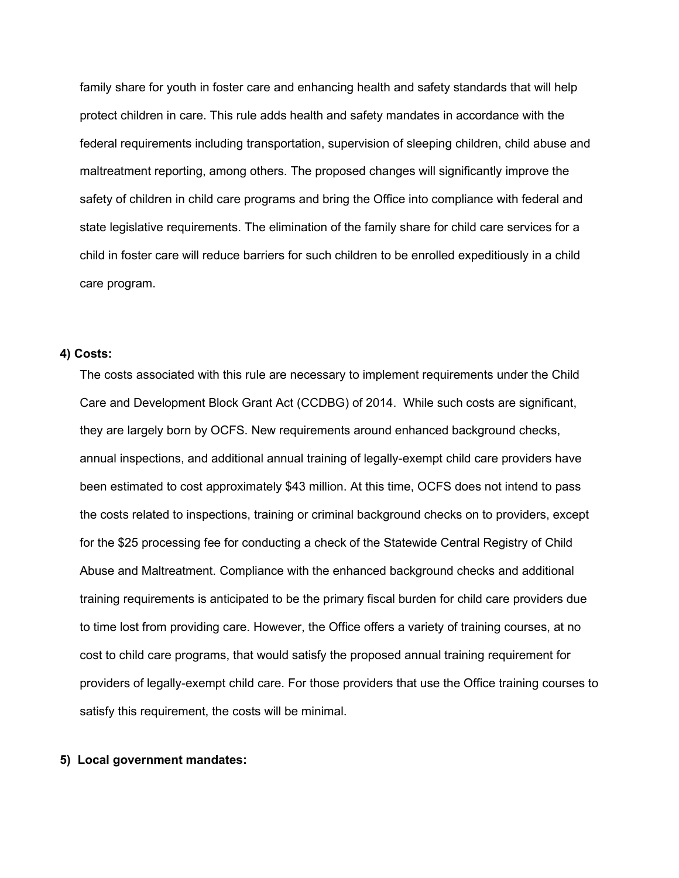family share for youth in foster care and enhancing health and safety standards that will help protect children in care. This rule adds health and safety mandates in accordance with the federal requirements including transportation, supervision of sleeping children, child abuse and maltreatment reporting, among others. The proposed changes will significantly improve the safety of children in child care programs and bring the Office into compliance with federal and state legislative requirements. The elimination of the family share for child care services for a child in foster care will reduce barriers for such children to be enrolled expeditiously in a child care program.

#### **4) Costs:**

The costs associated with this rule are necessary to implement requirements under the Child Care and Development Block Grant Act (CCDBG) of 2014. While such costs are significant, they are largely born by OCFS. New requirements around enhanced background checks, annual inspections, and additional annual training of legally-exempt child care providers have been estimated to cost approximately \$43 million. At this time, OCFS does not intend to pass the costs related to inspections, training or criminal background checks on to providers, except for the \$25 processing fee for conducting a check of the Statewide Central Registry of Child Abuse and Maltreatment. Compliance with the enhanced background checks and additional training requirements is anticipated to be the primary fiscal burden for child care providers due to time lost from providing care. However, the Office offers a variety of training courses, at no cost to child care programs, that would satisfy the proposed annual training requirement for providers of legally-exempt child care. For those providers that use the Office training courses to satisfy this requirement, the costs will be minimal.

#### **5) Local government mandates:**